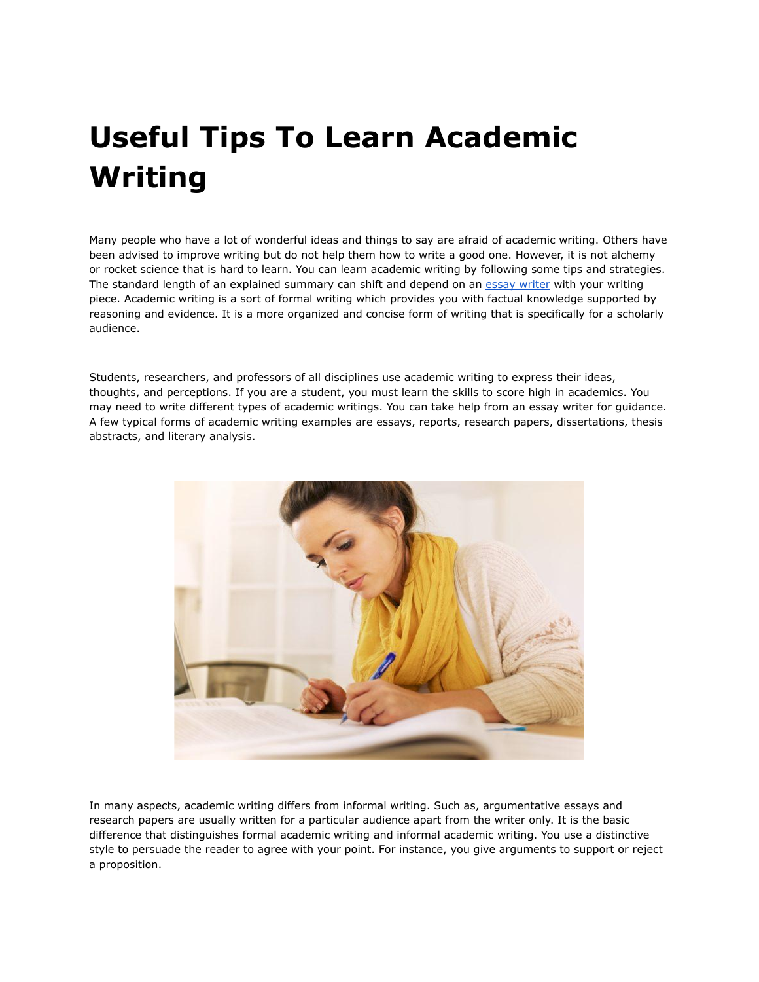## **Useful Tips To Learn Academic Writing**

Many people who have a lot of wonderful ideas and things to say are afraid of academic writing. Others have been advised to improve writing but do not help them how to write a good one. However, it is not alchemy or rocket science that is hard to learn. You can learn academic writing by following some tips and strategies. The standard length of an explained summary can shift and depend on an essay [writer](https://youressaywriter.net/) with your writing piece. Academic writing is a sort of formal writing which provides you with factual knowledge supported by reasoning and evidence. It is a more organized and concise form of writing that is specifically for a scholarly audience.

Students, researchers, and professors of all disciplines use academic writing to express their ideas, thoughts, and perceptions. If you are a student, you must learn the skills to score high in academics. You may need to write different types of academic writings. You can take help from an essay writer for guidance. A few typical forms of academic writing examples are essays, reports, research papers, dissertations, thesis abstracts, and literary analysis.



In many aspects, academic writing differs from informal writing. Such as, argumentative essays and research papers are usually written for a particular audience apart from the writer only. It is the basic difference that distinguishes formal academic writing and informal academic writing. You use a distinctive style to persuade the reader to agree with your point. For instance, you give arguments to support or reject a proposition.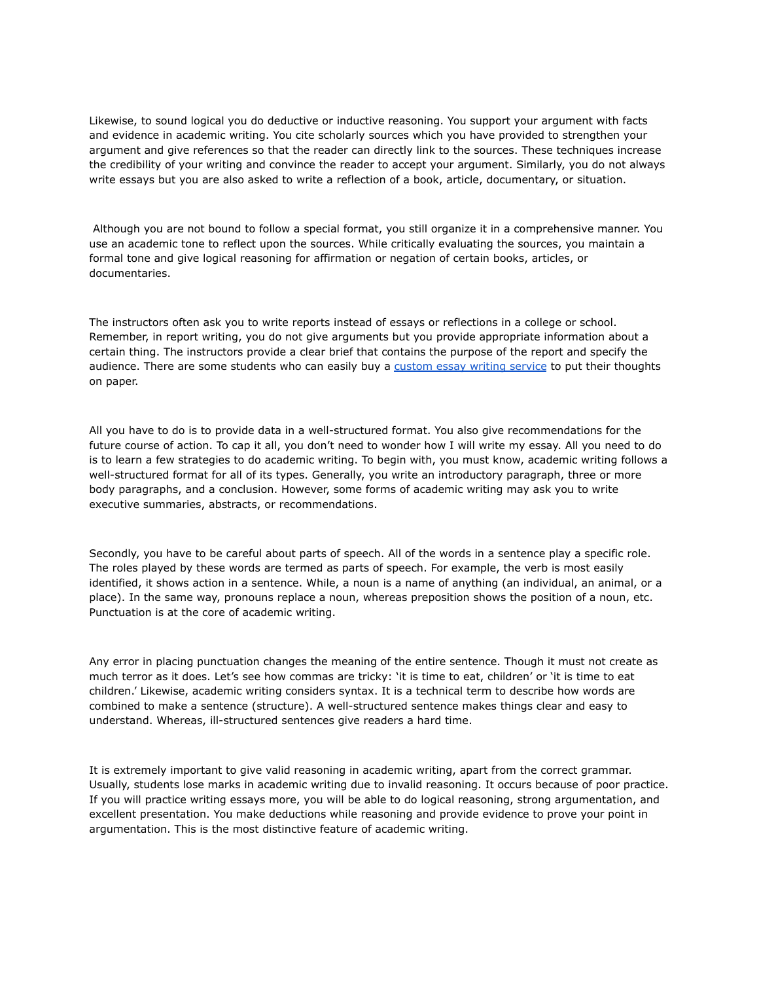Likewise, to sound logical you do deductive or inductive reasoning. You support your argument with facts and evidence in academic writing. You cite scholarly sources which you have provided to strengthen your argument and give references so that the reader can directly link to the sources. These techniques increase the credibility of your writing and convince the reader to accept your argument. Similarly, you do not always write essays but you are also asked to write a reflection of a book, article, documentary, or situation.

Although you are not bound to follow a special format, you still organize it in a comprehensive manner. You use an academic tone to reflect upon the sources. While critically evaluating the sources, you maintain a formal tone and give logical reasoning for affirmation or negation of certain books, articles, or documentaries.

The instructors often ask you to write reports instead of essays or reflections in a college or school. Remember, in report writing, you do not give arguments but you provide appropriate information about a certain thing. The instructors provide a clear brief that contains the purpose of the report and specify the audience. There are some students who can easily buy a [custom](https://theessaywritingservice.com/) essay writing service to put their thoughts on paper.

All you have to do is to provide data in a well-structured format. You also give recommendations for the future course of action. To cap it all, you don't need to wonder how I will write my essay. All you need to do is to learn a few strategies to do academic writing. To begin with, you must know, academic writing follows a well-structured format for all of its types. Generally, you write an introductory paragraph, three or more body paragraphs, and a conclusion. However, some forms of academic writing may ask you to write executive summaries, abstracts, or recommendations.

Secondly, you have to be careful about parts of speech. All of the words in a sentence play a specific role. The roles played by these words are termed as parts of speech. For example, the verb is most easily identified, it shows action in a sentence. While, a noun is a name of anything (an individual, an animal, or a place). In the same way, pronouns replace a noun, whereas preposition shows the position of a noun, etc. Punctuation is at the core of academic writing.

Any error in placing punctuation changes the meaning of the entire sentence. Though it must not create as much terror as it does. Let's see how commas are tricky: 'it is time to eat, children' or 'it is time to eat children.' Likewise, academic writing considers syntax. It is a technical term to describe how words are combined to make a sentence (structure). A well-structured sentence makes things clear and easy to understand. Whereas, ill-structured sentences give readers a hard time.

It is extremely important to give valid reasoning in academic writing, apart from the correct grammar. Usually, students lose marks in academic writing due to invalid reasoning. It occurs because of poor practice. If you will practice writing essays more, you will be able to do logical reasoning, strong argumentation, and excellent presentation. You make deductions while reasoning and provide evidence to prove your point in argumentation. This is the most distinctive feature of academic writing.